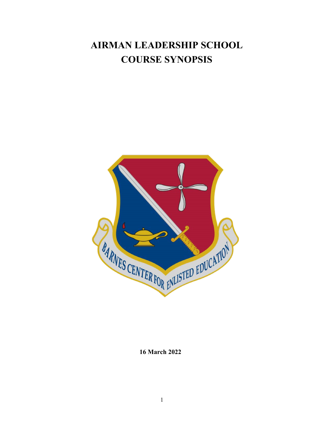# **AIRMAN LEADERSHIP SCHOOL COURSE SYNOPSIS**



**16 March 2022**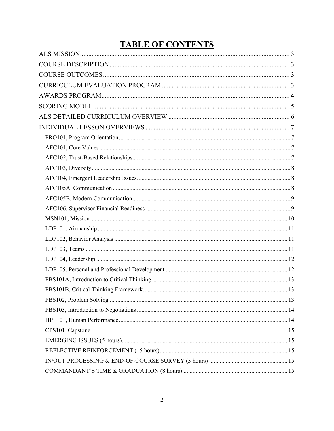# **TABLE OF CONTENTS**

| $\begin{minipage}{.4\linewidth} \textbf{COMMANDANT'S TIME & GRADUATION (8 hours) \end{minipage} \begin{minipage}{.4\linewidth} \textbf{15} \end{minipage} \begin{minipage}{.4\linewidth} \textbf{16} \end{minipage} \begin{minipage}{.4\linewidth} \textbf{17} \end{minipage} \begin{minipage}{.4\linewidth} \textbf{18} \end{minipage} \begin{minipage}{.4\linewidth} \textbf{19} \end{minipage} \begin{minipage}{.4\linewidth} \textbf{19} \end{minipage} \begin{minipage}{.4\linewidth} \textbf{19} \end{$ |  |
|---------------------------------------------------------------------------------------------------------------------------------------------------------------------------------------------------------------------------------------------------------------------------------------------------------------------------------------------------------------------------------------------------------------------------------------------------------------------------------------------------------------|--|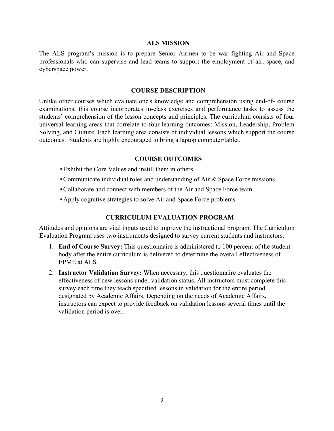#### **ALS MISSION**

The ALS program's mission is to prepare Senior Airmen to be war fighting Air and Space professionals who can supervise and lead teams to support the employment of air, space, and cyberspace power.

#### **COURSE DESCRIPTION**

Unlike other courses which evaluate one's knowledge and comprehension using end-of- course examinations, this course incorporates in-class exercises and performance tasks to assess the students' comprehension of the lesson concepts and principles. The curriculum consists of four universal learning areas that correlate to four learning outcomes: Mission, Leadership, Problem Solving, and Culture. Each learning area consists of individual lessons which support the course outcomes. Students are highly encouraged to bring a laptop computer/tablet.

#### **COURSE OUTCOMES**

- Exhibit the Core Values and instill them in others.
- Communicate individual roles and understanding of Air & Space Force missions.
- Collaborate and connect with members of the Air and Space Force team.
- Apply cognitive strategies to solve Air and Space Force problems.

#### **CURRICULUM EVALUATION PROGRAM**

Attitudes and opinions are vital inputs used to improve the instructional program. The Curriculum Evaluation Program uses two instruments designed to survey current students and instructors.

- 1. **End of Course Survey:** This questionnaire is administered to 100 percent of the student body after the entire curriculum is delivered to determine the overall effectiveness of EPME at ALS.
- 2. **Instructor Validation Survey:** When necessary, this questionnaire evaluates the effectiveness of new lessons under validation status. All instructors must complete this survey each time they teach specified lessons in validation for the entire period designated by Academic Affairs. Depending on the needs of Academic Affairs, instructors can expect to provide feedback on validation lessons several times until the validation period is over.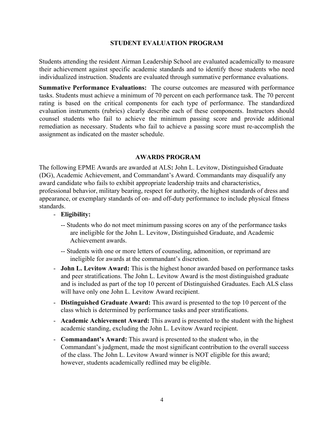#### **STUDENT EVALUATION PROGRAM**

Students attending the resident Airman Leadership School are evaluated academically to measure their achievement against specific academic standards and to identify those students who need individualized instruction. Students are evaluated through summative performance evaluations.

**Summative Performance Evaluations:** The course outcomes are measured with performance tasks. Students must achieve a minimum of 70 percent on each performance task. The 70 percent rating is based on the critical components for each type of performance. The standardized evaluation instruments (rubrics) clearly describe each of these components. Instructors should counsel students who fail to achieve the minimum passing score and provide additional remediation as necessary. Students who fail to achieve a passing score must re-accomplish the assignment as indicated on the master schedule.

#### **AWARDS PROGRAM**

The following EPME Awards are awarded at ALS**:** John L. Levitow, Distinguished Graduate (DG), Academic Achievement, and Commandant's Award. Commandants may disqualify any award candidate who fails to exhibit appropriate leadership traits and characteristics, professional behavior, military bearing, respect for authority, the highest standards of dress and appearance, or exemplary standards of on- and off-duty performance to include physical fitness standards.

#### - **Eligibility:**

- -- Students who do not meet minimum passing scores on any of the performance tasks are ineligible for the John L. Levitow, Distinguished Graduate, and Academic Achievement awards.
- -- Students with one or more letters of counseling, admonition, or reprimand are ineligible for awards at the commandant's discretion.
- **John L. Levitow Award:** This is the highest honor awarded based on performance tasks and peer stratifications. The John L. Levitow Award is the most distinguished graduate and is included as part of the top 10 percent of Distinguished Graduates. Each ALS class will have only one John L. Levitow Award recipient.
- **Distinguished Graduate Award:** This award is presented to the top 10 percent of the class which is determined by performance tasks and peer stratifications.
- **Academic Achievement Award:** This award is presented to the student with the highest academic standing, excluding the John L. Levitow Award recipient.
- **Commandant's Award:** This award is presented to the student who, in the Commandant's judgment, made the most significant contribution to the overall success of the class. The John L. Levitow Award winner is NOT eligible for this award; however, students academically redlined may be eligible.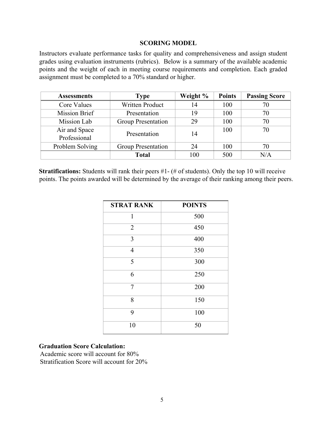#### **SCORING MODEL**

Instructors evaluate performance tasks for quality and comprehensiveness and assign student grades using evaluation instruments (rubrics). Below is a summary of the available academic points and the weight of each in meeting course requirements and completion. Each graded assignment must be completed to a 70% standard or higher.

| <b>Assessments</b> | <b>Type</b>               | Weight % | <b>Points</b> | <b>Passing Score</b> |
|--------------------|---------------------------|----------|---------------|----------------------|
| Core Values        | <b>Written Product</b>    | 14       | 100           |                      |
| Mission Brief      | Presentation              | 19       | 100           | 70                   |
| Mission Lab        | <b>Group Presentation</b> | 29       | 100           | 70                   |
| Air and Space      | Presentation              | 14       | 100           | 70                   |
| Professional       |                           |          |               |                      |
| Problem Solving    | Group Presentation        | 24       | 100           | 70                   |
|                    | <b>Total</b>              | 100      | 500           | N/A                  |

**Stratifications:** Students will rank their peers #1- (# of students). Only the top 10 will receive points. The points awarded will be determined by the average of their ranking among their peers.

| <b>STRAT RANK</b> | <b>POINTS</b> |
|-------------------|---------------|
| 1                 | 500           |
| $\overline{2}$    | 450           |
| 3                 | 400           |
| $\overline{4}$    | 350           |
| 5                 | 300           |
| 6                 | 250           |
| $\overline{7}$    | 200           |
| 8                 | 150           |
| 9                 | 100           |
| 10                | 50            |

#### **Graduation Score Calculation:**

Academic score will account for 80% Stratification Score will account for 20%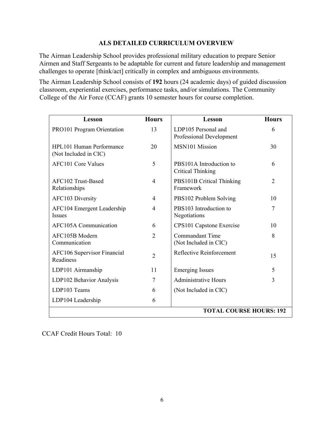# **ALS DETAILED CURRICULUM OVERVIEW**

The Airman Leadership School provides professional military education to prepare Senior Airmen and Staff Sergeants to be adaptable for current and future leadership and management challenges to operate [think/act] critically in complex and ambiguous environments.

The Airman Leadership School consists of **192** hours (24 academic days) of guided discussion classroom, experiential exercises, performance tasks, and/or simulations. The Community College of the Air Force (CCAF) grants 10 semester hours for course completion.

| Lesson                                            | <b>Hours</b>   | Lesson                                              | <b>Hours</b>   |  |  |  |
|---------------------------------------------------|----------------|-----------------------------------------------------|----------------|--|--|--|
| <b>PRO101 Program Orientation</b>                 | 13             | LDP105 Personal and<br>Professional Development     | 6              |  |  |  |
| HPL101 Human Performance<br>(Not Included in CIC) | 20             | MSN101 Mission                                      | 30             |  |  |  |
| <b>AFC101 Core Values</b>                         | 5              | PBS101A Introduction to<br><b>Critical Thinking</b> | 6              |  |  |  |
| AFC102 Trust-Based<br>Relationships               | 4              | PBS101B Critical Thinking<br>Framework              | $\overline{2}$ |  |  |  |
| AFC103 Diversity                                  | 4              | PBS102 Problem Solving                              | 10             |  |  |  |
| AFC104 Emergent Leadership<br><b>Issues</b>       | 4              | PBS103 Introduction to<br>Negotiations              | 7              |  |  |  |
| <b>AFC105A Communication</b>                      | 6              | CPS101 Capstone Exercise                            | 10             |  |  |  |
| AFC105B Modern<br>Communication                   | 2              | Commandant Time<br>(Not Included in CIC)            | 8              |  |  |  |
| AFC106 Supervisor Financial<br>Readiness          | $\overline{2}$ | Reflective Reinforcement                            | 15             |  |  |  |
| LDP101 Airmanship                                 | 11             | <b>Emerging Issues</b>                              | 5              |  |  |  |
| LDP102 Behavior Analysis                          | 7              | <b>Administrative Hours</b>                         | 3              |  |  |  |
| LDP103 Teams                                      | 6              | (Not Included in CIC)                               |                |  |  |  |
| LDP104 Leadership                                 | 6              |                                                     |                |  |  |  |
| <b>TOTAL COURSE HOURS: 192</b>                    |                |                                                     |                |  |  |  |

CCAF Credit Hours Total: 10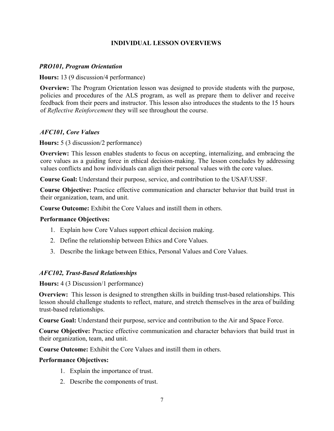# **INDIVIDUAL LESSON OVERVIEWS**

## *PRO101, Program Orientation*

**Hours:** 13 (9 discussion/4 performance)

**Overview:** The Program Orientation lesson was designed to provide students with the purpose, policies and procedures of the ALS program, as well as prepare them to deliver and receive feedback from their peers and instructor. This lesson also introduces the students to the 15 hours of *Reflective Reinforcement* they will see throughout the course.

# *AFC101, Core Values*

**Hours:** 5 (3 discussion/2 performance)

**Overview:** This lesson enables students to focus on accepting, internalizing, and embracing the core values as a guiding force in ethical decision-making. The lesson concludes by addressing values conflicts and how individuals can align their personal values with the core values.

**Course Goal:** Understand their purpose, service, and contribution to the USAF/USSF.

**Course Objective:** Practice effective communication and character behavior that build trust in their organization, team, and unit.

**Course Outcome:** Exhibit the Core Values and instill them in others.

## **Performance Objectives:**

- 1. Explain how Core Values support ethical decision making.
- 2. Define the relationship between Ethics and Core Values.
- 3. Describe the linkage between Ethics, Personal Values and Core Values.

## *AFC102, Trust-Based Relationships*

**Hours:** 4 (3 Discussion/1 performance)

**Overview:** This lesson is designed to strengthen skills in building trust-based relationships. This lesson should challenge students to reflect, mature, and stretch themselves in the area of building trust-based relationships.

**Course Goal:** Understand their purpose, service and contribution to the Air and Space Force.

**Course Objective:** Practice effective communication and character behaviors that build trust in their organization, team, and unit.

**Course Outcome:** Exhibit the Core Values and instill them in others.

#### **Performance Objectives:**

- 1. Explain the importance of trust.
- 2. Describe the components of trust.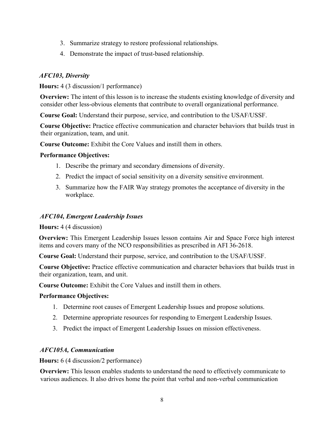- 3. Summarize strategy to restore professional relationships.
- 4. Demonstrate the impact of trust-based relationship.

# *AFC103, Diversity*

**Hours:** 4 (3 discussion/1 performance)

**Overview:** The intent of this lesson is to increase the students existing knowledge of diversity and consider other less-obvious elements that contribute to overall organizational performance.

**Course Goal:** Understand their purpose, service, and contribution to the USAF/USSF.

**Course Objective:** Practice effective communication and character behaviors that builds trust in their organization, team, and unit.

**Course Outcome:** Exhibit the Core Values and instill them in others.

# **Performance Objectives:**

- 1. Describe the primary and secondary dimensions of diversity.
- 2. Predict the impact of social sensitivity on a diversity sensitive environment.
- 3. Summarize how the FAIR Way strategy promotes the acceptance of diversity in the workplace.

# *AFC104, Emergent Leadership Issues*

**Hours:** 4 (4 discussion)

**Overview:** This Emergent Leadership Issues lesson contains Air and Space Force high interest items and covers many of the NCO responsibilities as prescribed in AFI 36-2618.

**Course Goal:** Understand their purpose, service, and contribution to the USAF/USSF.

**Course Objective:** Practice effective communication and character behaviors that builds trust in their organization, team, and unit.

**Course Outcome:** Exhibit the Core Values and instill them in others.

## **Performance Objectives:**

- 1. Determine root causes of Emergent Leadership Issues and propose solutions.
- 2. Determine appropriate resources for responding to Emergent Leadership Issues.
- 3. Predict the impact of Emergent Leadership Issues on mission effectiveness.

# *AFC105A, Communication*

**Hours:** 6 (4 discussion/2 performance)

**Overview:** This lesson enables students to understand the need to effectively communicate to various audiences. It also drives home the point that verbal and non-verbal communication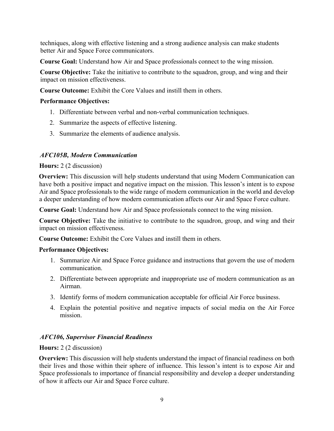techniques, along with effective listening and a strong audience analysis can make students better Air and Space Force communicators.

**Course Goal:** Understand how Air and Space professionals connect to the wing mission.

**Course Objective:** Take the initiative to contribute to the squadron, group, and wing and their impact on mission effectiveness.

**Course Outcome:** Exhibit the Core Values and instill them in others.

# **Performance Objectives:**

- 1. Differentiate between verbal and non-verbal communication techniques.
- 2. Summarize the aspects of effective listening.
- 3. Summarize the elements of audience analysis.

# *AFC105B, Modern Communication*

## **Hours:** 2 (2 discussion)

**Overview:** This discussion will help students understand that using Modern Communication can have both a positive impact and negative impact on the mission. This lesson's intent is to expose Air and Space professionals to the wide range of modern communication in the world and develop a deeper understanding of how modern communication affects our Air and Space Force culture.

**Course Goal:** Understand how Air and Space professionals connect to the wing mission.

**Course Objective:** Take the initiative to contribute to the squadron, group, and wing and their impact on mission effectiveness.

**Course Outcome:** Exhibit the Core Values and instill them in others.

## **Performance Objectives:**

- 1. Summarize Air and Space Force guidance and instructions that govern the use of modern communication.
- 2. Differentiate between appropriate and inappropriate use of modern communication as an Airman.
- 3. Identify forms of modern communication acceptable for official Air Force business.
- 4. Explain the potential positive and negative impacts of social media on the Air Force mission.

## *AFC106, Supervisor Financial Readiness*

## **Hours:** 2 (2 discussion)

**Overview:** This discussion will help students understand the impact of financial readiness on both their lives and those within their sphere of influence. This lesson's intent is to expose Air and Space professionals to importance of financial responsibility and develop a deeper understanding of how it affects our Air and Space Force culture.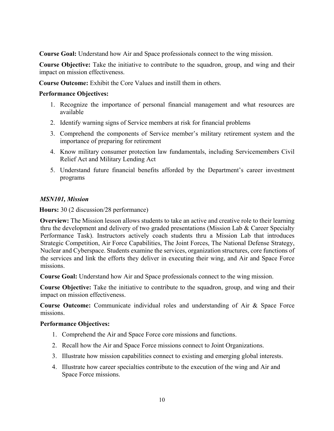**Course Goal:** Understand how Air and Space professionals connect to the wing mission.

**Course Objective:** Take the initiative to contribute to the squadron, group, and wing and their impact on mission effectiveness.

**Course Outcome:** Exhibit the Core Values and instill them in others.

## **Performance Objectives:**

- 1. Recognize the importance of personal financial management and what resources are available
- 2. Identify warning signs of Service members at risk for financial problems
- 3. Comprehend the components of Service member's military retirement system and the importance of preparing for retirement
- 4. Know military consumer protection law fundamentals, including Servicemembers Civil Relief Act and Military Lending Act
- 5. Understand future financial benefits afforded by the Department's career investment programs

## *MSN101, Mission*

**Hours:** 30 (2 discussion/28 performance)

**Overview:** The Mission lesson allows students to take an active and creative role to their learning thru the development and delivery of two graded presentations (Mission Lab & Career Specialty Performance Task). Instructors actively coach students thru a Mission Lab that introduces Strategic Competition, Air Force Capabilities, The Joint Forces, The National Defense Strategy, Nuclear and Cyberspace. Students examine the services, organization structures, core functions of the services and link the efforts they deliver in executing their wing, and Air and Space Force missions.

**Course Goal:** Understand how Air and Space professionals connect to the wing mission.

**Course Objective:** Take the initiative to contribute to the squadron, group, and wing and their impact on mission effectiveness.

**Course Outcome:** Communicate individual roles and understanding of Air & Space Force missions.

## **Performance Objectives:**

- 1. Comprehend the Air and Space Force core missions and functions.
- 2. Recall how the Air and Space Force missions connect to Joint Organizations.
- 3. Illustrate how mission capabilities connect to existing and emerging global interests.
- 4. Illustrate how career specialties contribute to the execution of the wing and Air and Space Force missions.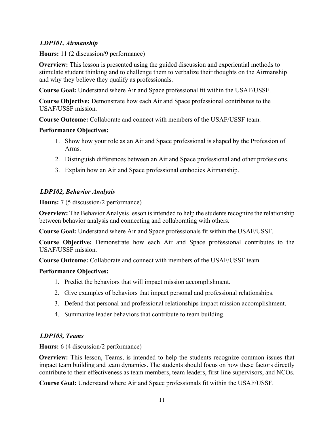# *LDP101, Airmanship*

**Hours:** 11 (2 discussion/9 performance)

**Overview:** This lesson is presented using the guided discussion and experiential methods to stimulate student thinking and to challenge them to verbalize their thoughts on the Airmanship and why they believe they qualify as professionals.

**Course Goal:** Understand where Air and Space professional fit within the USAF/USSF.

**Course Objective:** Demonstrate how each Air and Space professional contributes to the USAF/USSF mission.

**Course Outcome:** Collaborate and connect with members of the USAF/USSF team.

# **Performance Objectives:**

- 1. Show how your role as an Air and Space professional is shaped by the Profession of Arms.
- 2. Distinguish differences between an Air and Space professional and other professions.
- 3. Explain how an Air and Space professional embodies Airmanship.

# *LDP102, Behavior Analysis*

**Hours:** 7 (5 discussion/2 performance)

**Overview:** The Behavior Analysis lesson is intended to help the students recognize the relationship between behavior analysis and connecting and collaborating with others.

**Course Goal:** Understand where Air and Space professionals fit within the USAF/USSF.

**Course Objective:** Demonstrate how each Air and Space professional contributes to the USAF/USSF mission.

**Course Outcome:** Collaborate and connect with members of the USAF/USSF team.

# **Performance Objectives:**

- 1. Predict the behaviors that will impact mission accomplishment.
- 2. Give examples of behaviors that impact personal and professional relationships.
- 3. Defend that personal and professional relationships impact mission accomplishment.
- 4. Summarize leader behaviors that contribute to team building.

# *LDP103, Teams*

**Hours:** 6 (4 discussion/2 performance)

**Overview:** This lesson, Teams, is intended to help the students recognize common issues that impact team building and team dynamics. The students should focus on how these factors directly contribute to their effectiveness as team members, team leaders, first-line supervisors, and NCOs.

**Course Goal:** Understand where Air and Space professionals fit within the USAF/USSF.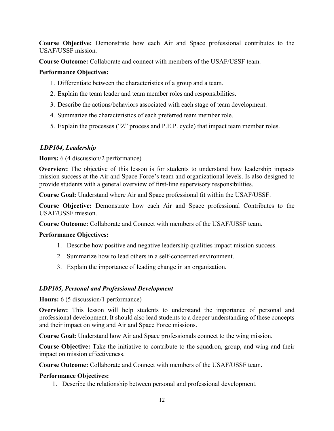**Course Objective:** Demonstrate how each Air and Space professional contributes to the USAF/USSF mission.

**Course Outcome:** Collaborate and connect with members of the USAF/USSF team.

# **Performance Objectives:**

- 1. Differentiate between the characteristics of a group and a team.
- 2. Explain the team leader and team member roles and responsibilities.
- 3. Describe the actions/behaviors associated with each stage of team development.
- 4. Summarize the characteristics of each preferred team member role.
- 5. Explain the processes ("Z" process and P.E.P. cycle) that impact team member roles.

# *LDP104, Leadership*

## **Hours:** 6 (4 discussion/2 performance)

**Overview:** The objective of this lesson is for students to understand how leadership impacts mission success at the Air and Space Force's team and organizational levels. Is also designed to provide students with a general overview of first-line supervisory responsibilities.

**Course Goal:** Understand where Air and Space professional fit within the USAF/USSF.

**Course Objective:** Demonstrate how each Air and Space professional Contributes to the USAF/USSF mission.

**Course Outcome:** Collaborate and Connect with members of the USAF/USSF team.

## **Performance Objectives:**

- 1. Describe how positive and negative leadership qualities impact mission success.
- 2. Summarize how to lead others in a self-concerned environment.
- 3. Explain the importance of leading change in an organization.

# *LDP105, Personal and Professional Development*

## **Hours:** 6 (5 discussion/1 performance)

**Overview:** This lesson will help students to understand the importance of personal and professional development. It should also lead students to a deeper understanding of these concepts and their impact on wing and Air and Space Force missions.

**Course Goal:** Understand how Air and Space professionals connect to the wing mission.

**Course Objective:** Take the initiative to contribute to the squadron, group, and wing and their impact on mission effectiveness.

**Course Outcome:** Collaborate and Connect with members of the USAF/USSF team.

## **Performance Objectives:**

1. Describe the relationship between personal and professional development.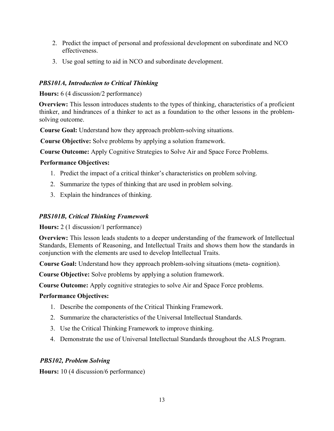- 2. Predict the impact of personal and professional development on subordinate and NCO effectiveness.
- 3. Use goal setting to aid in NCO and subordinate development.

# *PBS101A, Introduction to Critical Thinking*

**Hours:** 6 (4 discussion/2 performance)

**Overview:** This lesson introduces students to the types of thinking, characteristics of a proficient thinker, and hindrances of a thinker to act as a foundation to the other lessons in the problemsolving outcome.

**Course Goal:** Understand how they approach problem-solving situations.

**Course Objective:** Solve problems by applying a solution framework.

**Course Outcome:** Apply Cognitive Strategies to Solve Air and Space Force Problems.

# **Performance Objectives:**

- 1. Predict the impact of a critical thinker's characteristics on problem solving.
- 2. Summarize the types of thinking that are used in problem solving.
- 3. Explain the hindrances of thinking.

# *PBS101B, Critical Thinking Framework*

**Hours:** 2 (1 discussion/1 performance)

**Overview:** This lesson leads students to a deeper understanding of the framework of Intellectual Standards, Elements of Reasoning, and Intellectual Traits and shows them how the standards in conjunction with the elements are used to develop Intellectual Traits.

**Course Goal:** Understand how they approach problem-solving situations (meta- cognition).

**Course Objective:** Solve problems by applying a solution framework.

**Course Outcome:** Apply cognitive strategies to solve Air and Space Force problems.

# **Performance Objectives:**

- 1. Describe the components of the Critical Thinking Framework.
- 2. Summarize the characteristics of the Universal Intellectual Standards.
- 3. Use the Critical Thinking Framework to improve thinking.
- 4. Demonstrate the use of Universal Intellectual Standards throughout the ALS Program.

# *PBS102, Problem Solving*

**Hours:** 10 (4 discussion/6 performance)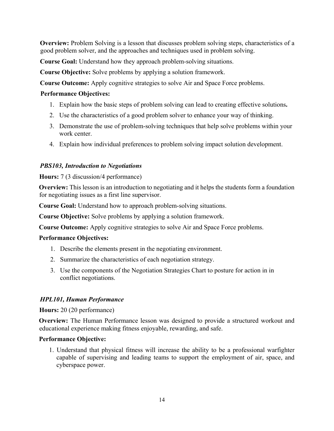**Overview:** Problem Solving is a lesson that discusses problem solving steps, characteristics of a good problem solver, and the approaches and techniques used in problem solving.

**Course Goal:** Understand how they approach problem-solving situations.

**Course Objective:** Solve problems by applying a solution framework.

**Course Outcome:** Apply cognitive strategies to solve Air and Space Force problems.

# **Performance Objectives:**

- 1. Explain how the basic steps of problem solving can lead to creating effective solutions**.**
- 2. Use the characteristics of a good problem solver to enhance your way of thinking.
- 3. Demonstrate the use of problem-solving techniques that help solve problems within your work center.
- 4. Explain how individual preferences to problem solving impact solution development.

# *PBS103, Introduction to Negotiations*

## **Hours:** 7 (3 discussion/4 performance)

**Overview:** This lesson is an introduction to negotiating and it helps the students form a foundation for negotiating issues as a first line supervisor.

**Course Goal:** Understand how to approach problem-solving situations.

**Course Objective:** Solve problems by applying a solution framework.

**Course Outcome:** Apply cognitive strategies to solve Air and Space Force problems.

## **Performance Objectives:**

- 1. Describe the elements present in the negotiating environment.
- 2. Summarize the characteristics of each negotiation strategy.
- 3. Use the components of the Negotiation Strategies Chart to posture for action in in conflict negotiations.

# *HPL101, Human Performance*

**Hours:** 20 (20 performance)

**Overview:** The Human Performance lesson was designed to provide a structured workout and educational experience making fitness enjoyable, rewarding, and safe.

## **Performance Objective:**

1. Understand that physical fitness will increase the ability to be a professional warfighter capable of supervising and leading teams to support the employment of air, space, and cyberspace power.